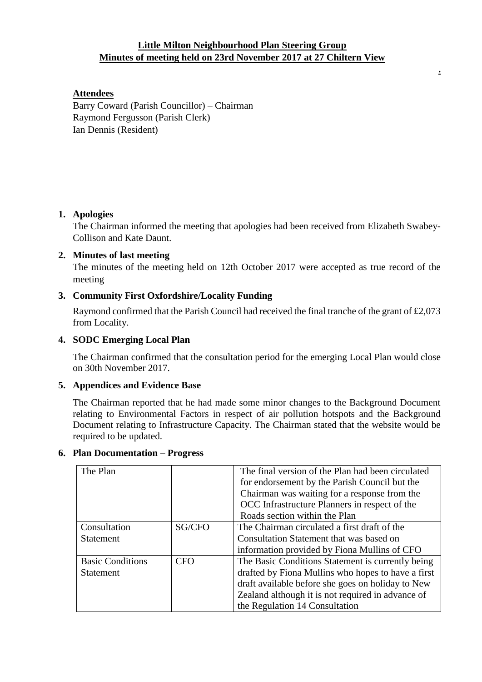# **Little Milton Neighbourhood Plan Steering Group Minutes of meeting held on 23rd November 2017 at 27 Chiltern View**

**.**

# **Attendees**

Barry Coward (Parish Councillor) – Chairman Raymond Fergusson (Parish Clerk) Ian Dennis (Resident)

# **1. Apologies**

The Chairman informed the meeting that apologies had been received from Elizabeth Swabey-Collison and Kate Daunt.

## **2. Minutes of last meeting**

The minutes of the meeting held on 12th October 2017 were accepted as true record of the meeting

# **3. Community First Oxfordshire/Locality Funding**

Raymond confirmed that the Parish Council had received the final tranche of the grant of £2,073 from Locality.

## **4. SODC Emerging Local Plan**

The Chairman confirmed that the consultation period for the emerging Local Plan would close on 30th November 2017.

### **5. Appendices and Evidence Base**

The Chairman reported that he had made some minor changes to the Background Document relating to Environmental Factors in respect of air pollution hotspots and the Background Document relating to Infrastructure Capacity. The Chairman stated that the website would be required to be updated.

| The Plan                |            | The final version of the Plan had been circulated  |
|-------------------------|------------|----------------------------------------------------|
|                         |            | for endorsement by the Parish Council but the      |
|                         |            | Chairman was waiting for a response from the       |
|                         |            | OCC Infrastructure Planners in respect of the      |
|                         |            | Roads section within the Plan                      |
| Consultation            | SG/CFO     | The Chairman circulated a first draft of the       |
| <b>Statement</b>        |            | Consultation Statement that was based on           |
|                         |            | information provided by Fiona Mullins of CFO       |
| <b>Basic Conditions</b> | <b>CFO</b> | The Basic Conditions Statement is currently being  |
| <b>Statement</b>        |            | drafted by Fiona Mullins who hopes to have a first |
|                         |            | draft available before she goes on holiday to New  |
|                         |            | Zealand although it is not required in advance of  |
|                         |            | the Regulation 14 Consultation                     |

### **6. Plan Documentation – Progress**